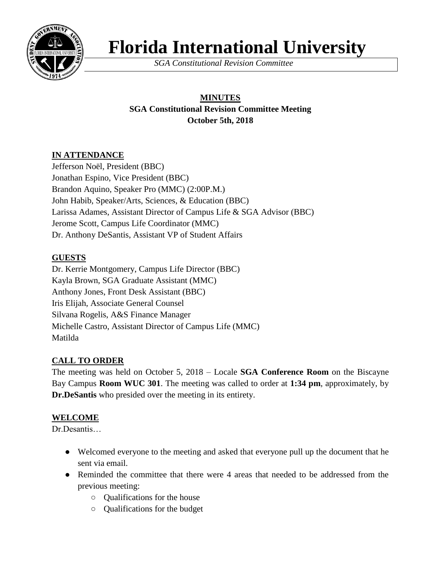

# **Florida International University**

*SGA Constitutional Revision Committee*

## **MINUTES SGA Constitutional Revision Committee Meeting October 5th, 2018**

## **IN ATTENDANCE**

Jefferson Noël, President (BBC) Jonathan Espino, Vice President (BBC) Brandon Aquino, Speaker Pro (MMC) (2:00P.M.) John Habib, Speaker/Arts, Sciences, & Education (BBC) Larissa Adames, Assistant Director of Campus Life & SGA Advisor (BBC) Jerome Scott, Campus Life Coordinator (MMC) Dr. Anthony DeSantis, Assistant VP of Student Affairs

## **GUESTS**

Dr. Kerrie Montgomery, Campus Life Director (BBC) Kayla Brown, SGA Graduate Assistant (MMC) Anthony Jones, Front Desk Assistant (BBC) Iris Elijah, Associate General Counsel Silvana Rogelis, A&S Finance Manager Michelle Castro, Assistant Director of Campus Life (MMC) Matilda

## **CALL TO ORDER**

The meeting was held on October 5, 2018 – Locale **SGA Conference Room** on the Biscayne Bay Campus **Room WUC 301**. The meeting was called to order at **1:34 pm**, approximately, by **Dr.DeSantis** who presided over the meeting in its entirety.

## **WELCOME**

Dr.Desantis…

- Welcomed everyone to the meeting and asked that everyone pull up the document that he sent via email.
- Reminded the committee that there were 4 areas that needed to be addressed from the previous meeting:
	- Qualifications for the house
	- Qualifications for the budget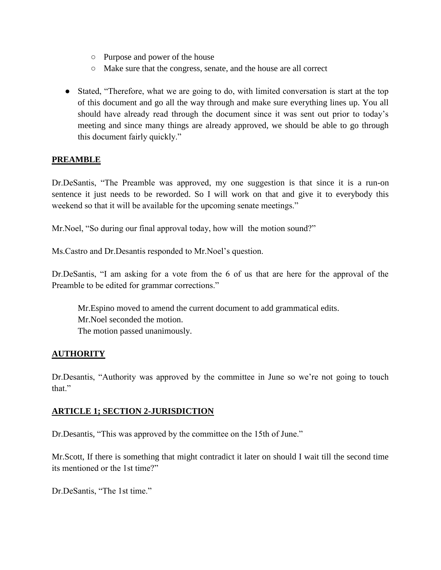- Purpose and power of the house
- Make sure that the congress, senate, and the house are all correct
- Stated, "Therefore, what we are going to do, with limited conversation is start at the top of this document and go all the way through and make sure everything lines up. You all should have already read through the document since it was sent out prior to today's meeting and since many things are already approved, we should be able to go through this document fairly quickly."

#### **PREAMBLE**

Dr.DeSantis, "The Preamble was approved, my one suggestion is that since it is a run-on sentence it just needs to be reworded. So I will work on that and give it to everybody this weekend so that it will be available for the upcoming senate meetings."

Mr. Noel, "So during our final approval today, how will the motion sound?"

Ms.Castro and Dr.Desantis responded to Mr.Noel's question.

Dr.DeSantis, "I am asking for a vote from the 6 of us that are here for the approval of the Preamble to be edited for grammar corrections."

Mr.Espino moved to amend the current document to add grammatical edits. Mr.Noel seconded the motion. The motion passed unanimously.

#### **AUTHORITY**

Dr.Desantis, "Authority was approved by the committee in June so we're not going to touch that."

#### **ARTICLE 1; SECTION 2-JURISDICTION**

Dr.Desantis, "This was approved by the committee on the 15th of June."

Mr.Scott, If there is something that might contradict it later on should I wait till the second time its mentioned or the 1st time?"

Dr.DeSantis, "The 1st time."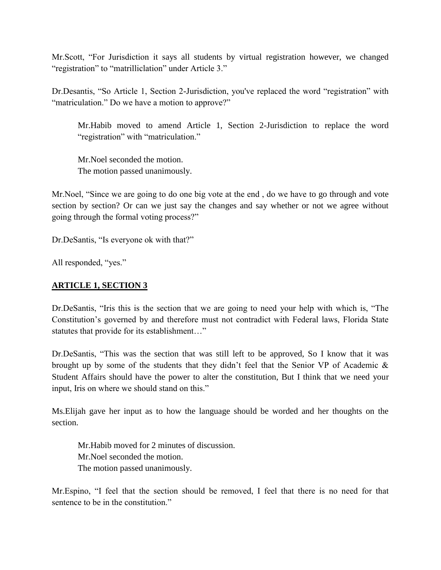Mr.Scott, "For Jurisdiction it says all students by virtual registration however, we changed "registration" to "matrilliclation" under Article 3."

Dr.Desantis, "So Article 1, Section 2-Jurisdiction, you've replaced the word "registration" with "matriculation." Do we have a motion to approve?"

Mr.Habib moved to amend Article 1, Section 2-Jurisdiction to replace the word "registration" with "matriculation."

Mr.Noel seconded the motion. The motion passed unanimously.

Mr.Noel, "Since we are going to do one big vote at the end , do we have to go through and vote section by section? Or can we just say the changes and say whether or not we agree without going through the formal voting process?"

Dr.DeSantis, "Is everyone ok with that?"

All responded, "yes."

#### **ARTICLE 1, SECTION 3**

Dr.DeSantis, "Iris this is the section that we are going to need your help with which is, "The Constitution's governed by and therefore must not contradict with Federal laws, Florida State statutes that provide for its establishment…"

Dr.DeSantis, "This was the section that was still left to be approved, So I know that it was brought up by some of the students that they didn't feel that the Senior VP of Academic & Student Affairs should have the power to alter the constitution, But I think that we need your input, Iris on where we should stand on this."

Ms.Elijah gave her input as to how the language should be worded and her thoughts on the section.

Mr.Habib moved for 2 minutes of discussion. Mr.Noel seconded the motion. The motion passed unanimously.

Mr.Espino, "I feel that the section should be removed, I feel that there is no need for that sentence to be in the constitution."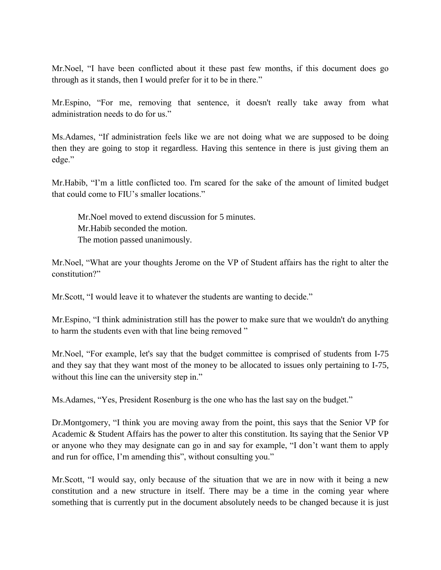Mr.Noel, "I have been conflicted about it these past few months, if this document does go through as it stands, then I would prefer for it to be in there."

Mr.Espino, "For me, removing that sentence, it doesn't really take away from what administration needs to do for us."

Ms.Adames, "If administration feels like we are not doing what we are supposed to be doing then they are going to stop it regardless. Having this sentence in there is just giving them an edge."

Mr.Habib, "I'm a little conflicted too. I'm scared for the sake of the amount of limited budget that could come to FIU's smaller locations."

Mr.Noel moved to extend discussion for 5 minutes. Mr.Habib seconded the motion. The motion passed unanimously.

Mr.Noel, "What are your thoughts Jerome on the VP of Student affairs has the right to alter the constitution?"

Mr.Scott, "I would leave it to whatever the students are wanting to decide."

Mr.Espino, "I think administration still has the power to make sure that we wouldn't do anything to harm the students even with that line being removed "

Mr.Noel, "For example, let's say that the budget committee is comprised of students from I-75 and they say that they want most of the money to be allocated to issues only pertaining to I-75, without this line can the university step in."

Ms.Adames, "Yes, President Rosenburg is the one who has the last say on the budget."

Dr.Montgomery, "I think you are moving away from the point, this says that the Senior VP for Academic & Student Affairs has the power to alter this constitution. Its saying that the Senior VP or anyone who they may designate can go in and say for example, "I don't want them to apply and run for office, I'm amending this", without consulting you."

Mr.Scott, "I would say, only because of the situation that we are in now with it being a new constitution and a new structure in itself. There may be a time in the coming year where something that is currently put in the document absolutely needs to be changed because it is just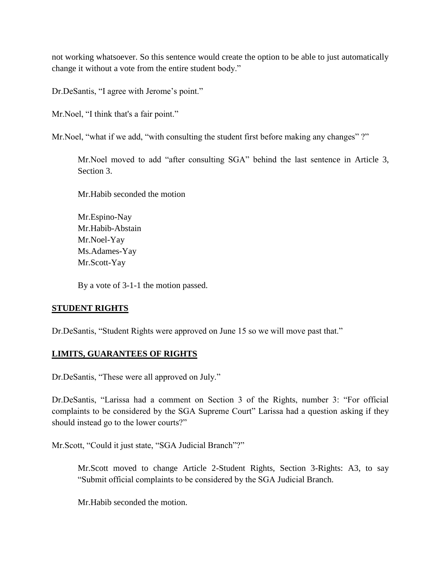not working whatsoever. So this sentence would create the option to be able to just automatically change it without a vote from the entire student body."

Dr.DeSantis, "I agree with Jerome's point."

Mr.Noel, "I think that's a fair point."

Mr. Noel, "what if we add, "with consulting the student first before making any changes"?"

Mr.Noel moved to add "after consulting SGA" behind the last sentence in Article 3, Section 3.

Mr.Habib seconded the motion

Mr.Espino-Nay Mr.Habib-Abstain Mr.Noel-Yay Ms.Adames-Yay Mr.Scott-Yay

By a vote of 3-1-1 the motion passed.

#### **STUDENT RIGHTS**

Dr.DeSantis, "Student Rights were approved on June 15 so we will move past that."

### **LIMITS, GUARANTEES OF RIGHTS**

Dr.DeSantis, "These were all approved on July."

Dr.DeSantis, "Larissa had a comment on Section 3 of the Rights, number 3: "For official complaints to be considered by the SGA Supreme Court" Larissa had a question asking if they should instead go to the lower courts?"

Mr.Scott, "Could it just state, "SGA Judicial Branch"?"

Mr.Scott moved to change Article 2-Student Rights, Section 3-Rights: A3, to say "Submit official complaints to be considered by the SGA Judicial Branch.

Mr.Habib seconded the motion.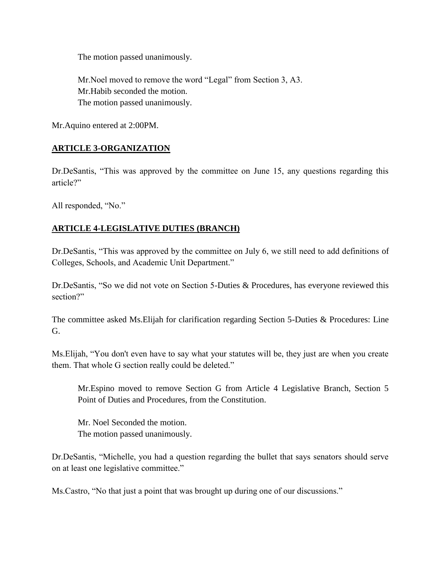The motion passed unanimously.

Mr.Noel moved to remove the word "Legal" from Section 3, A3. Mr.Habib seconded the motion. The motion passed unanimously.

Mr.Aquino entered at 2:00PM.

#### **ARTICLE 3-ORGANIZATION**

Dr.DeSantis, "This was approved by the committee on June 15, any questions regarding this article?"

All responded, "No."

#### **ARTICLE 4-LEGISLATIVE DUTIES (BRANCH)**

Dr.DeSantis, "This was approved by the committee on July 6, we still need to add definitions of Colleges, Schools, and Academic Unit Department."

Dr.DeSantis, "So we did not vote on Section 5-Duties & Procedures, has everyone reviewed this section?"

The committee asked Ms.Elijah for clarification regarding Section 5-Duties & Procedures: Line G.

Ms.Elijah, "You don't even have to say what your statutes will be, they just are when you create them. That whole G section really could be deleted."

Mr.Espino moved to remove Section G from Article 4 Legislative Branch, Section 5 Point of Duties and Procedures, from the Constitution.

Mr. Noel Seconded the motion. The motion passed unanimously.

Dr.DeSantis, "Michelle, you had a question regarding the bullet that says senators should serve on at least one legislative committee."

Ms.Castro, "No that just a point that was brought up during one of our discussions."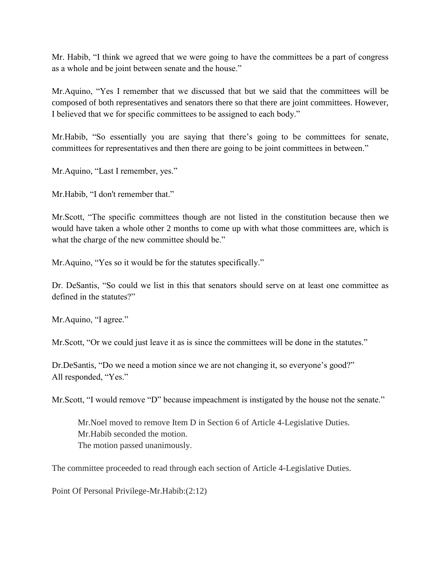Mr. Habib, "I think we agreed that we were going to have the committees be a part of congress as a whole and be joint between senate and the house."

Mr.Aquino, "Yes I remember that we discussed that but we said that the committees will be composed of both representatives and senators there so that there are joint committees. However, I believed that we for specific committees to be assigned to each body."

Mr.Habib, "So essentially you are saying that there's going to be committees for senate, committees for representatives and then there are going to be joint committees in between."

Mr.Aquino, "Last I remember, yes."

Mr.Habib, "I don't remember that."

Mr.Scott, "The specific committees though are not listed in the constitution because then we would have taken a whole other 2 months to come up with what those committees are, which is what the charge of the new committee should be."

Mr.Aquino, "Yes so it would be for the statutes specifically."

Dr. DeSantis, "So could we list in this that senators should serve on at least one committee as defined in the statutes?"

Mr.Aquino, "I agree."

Mr. Scott, "Or we could just leave it as is since the committees will be done in the statutes."

Dr.DeSantis, "Do we need a motion since we are not changing it, so everyone's good?" All responded, "Yes."

Mr.Scott, "I would remove "D" because impeachment is instigated by the house not the senate."

Mr.Noel moved to remove Item D in Section 6 of Article 4-Legislative Duties. Mr.Habib seconded the motion. The motion passed unanimously.

The committee proceeded to read through each section of Article 4-Legislative Duties.

Point Of Personal Privilege-Mr.Habib:(2:12)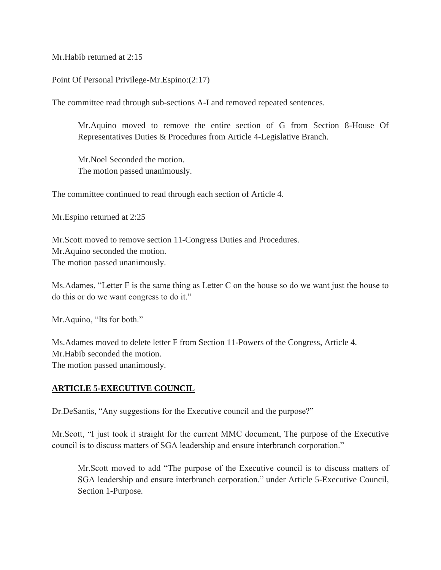Mr.Habib returned at 2:15

Point Of Personal Privilege-Mr.Espino:(2:17)

The committee read through sub-sections A-I and removed repeated sentences.

Mr.Aquino moved to remove the entire section of G from Section 8-House Of Representatives Duties & Procedures from Article 4-Legislative Branch.

Mr.Noel Seconded the motion. The motion passed unanimously.

The committee continued to read through each section of Article 4.

Mr.Espino returned at 2:25

Mr.Scott moved to remove section 11-Congress Duties and Procedures. Mr.Aquino seconded the motion. The motion passed unanimously.

Ms.Adames, "Letter F is the same thing as Letter C on the house so do we want just the house to do this or do we want congress to do it."

Mr.Aquino, "Its for both."

Ms.Adames moved to delete letter F from Section 11-Powers of the Congress, Article 4. Mr.Habib seconded the motion. The motion passed unanimously.

#### **ARTICLE 5-EXECUTIVE COUNCIL**

Dr.DeSantis, "Any suggestions for the Executive council and the purpose?"

Mr.Scott, "I just took it straight for the current MMC document, The purpose of the Executive council is to discuss matters of SGA leadership and ensure interbranch corporation."

Mr.Scott moved to add "The purpose of the Executive council is to discuss matters of SGA leadership and ensure interbranch corporation." under Article 5-Executive Council, Section 1-Purpose.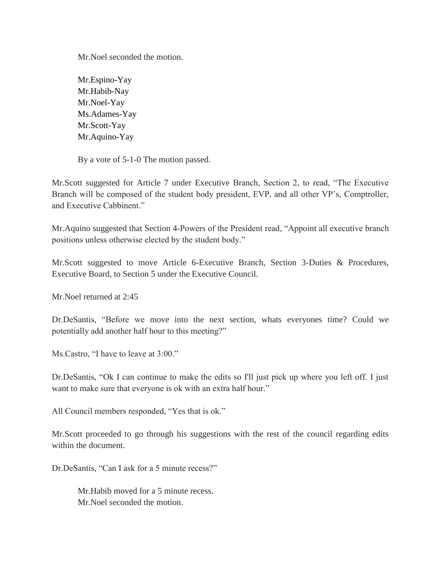Mr.Noel seconded the motion.

Mr.Espino-Yay Mr.Habib-Nay Mr.Noel-Yay Ms.Adames-Yay Mr.Scott-Yay Mr.Aquino-Yay

By a vote of 5-1-0 The motion passed.

Mr.Scott suggested for Article 7 under Executive Branch, Section 2, to read, "The Executive Branch will be composed of the student body president, EVP, and all other VP's, Comptroller, and Executive Cabbinent."

Mr.Aquino suggested that Section 4-Powers of the President read, "Appoint all executive branch positions unless otherwise elected by the student body."

Mr.Scott suggested to move Article 6-Executive Branch, Section 3-Duties & Procedures, Executive Board, to Section 5 under the Executive Council.

Mr.Noel returned at 2:45

Dr.DeSantis, "Before we move into the next section, whats everyones time? Could we potentially add another half hour to this meeting?"

Ms.Castro, "I have to leave at 3:00."

Dr.DeSantis, "Ok I can continue to make the edits so I'll just pick up where you left off. I just want to make sure that everyone is ok with an extra half hour."

All Council members responded, "Yes that is ok."

Mr.Scott proceeded to go through his suggestions with the rest of the council regarding edits within the document.

Dr.DeSantis, "Can I ask for a 5 minute recess?"

Mr.Habib moved for a 5 minute recess. Mr.Noel seconded the motion.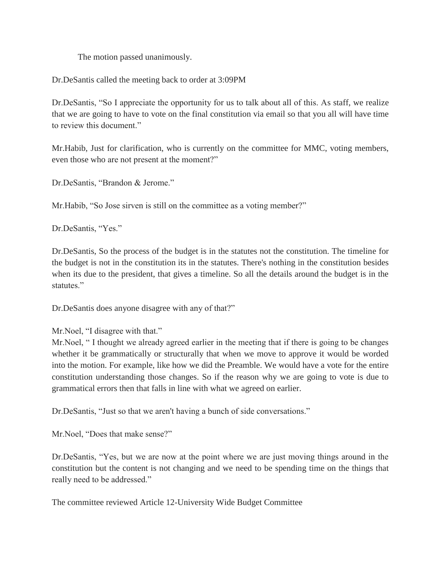The motion passed unanimously.

Dr.DeSantis called the meeting back to order at 3:09PM

Dr.DeSantis, "So I appreciate the opportunity for us to talk about all of this. As staff, we realize that we are going to have to vote on the final constitution via email so that you all will have time to review this document."

Mr.Habib, Just for clarification, who is currently on the committee for MMC, voting members, even those who are not present at the moment?"

Dr.DeSantis, "Brandon & Jerome."

Mr.Habib, "So Jose sirven is still on the committee as a voting member?"

Dr.DeSantis, "Yes."

Dr.DeSantis, So the process of the budget is in the statutes not the constitution. The timeline for the budget is not in the constitution its in the statutes. There's nothing in the constitution besides when its due to the president, that gives a timeline. So all the details around the budget is in the statutes."

Dr.DeSantis does anyone disagree with any of that?"

Mr. Noel, "I thought we already agreed earlier in the meeting that if there is going to be changes whether it be grammatically or structurally that when we move to approve it would be worded into the motion. For example, like how we did the Preamble. We would have a vote for the entire constitution understanding those changes. So if the reason why we are going to vote is due to grammatical errors then that falls in line with what we agreed on earlier.

Dr.DeSantis, "Just so that we aren't having a bunch of side conversations."

Mr.Noel, "Does that make sense?"

Dr.DeSantis, "Yes, but we are now at the point where we are just moving things around in the constitution but the content is not changing and we need to be spending time on the things that really need to be addressed."

The committee reviewed Article 12-University Wide Budget Committee

Mr.Noel, "I disagree with that."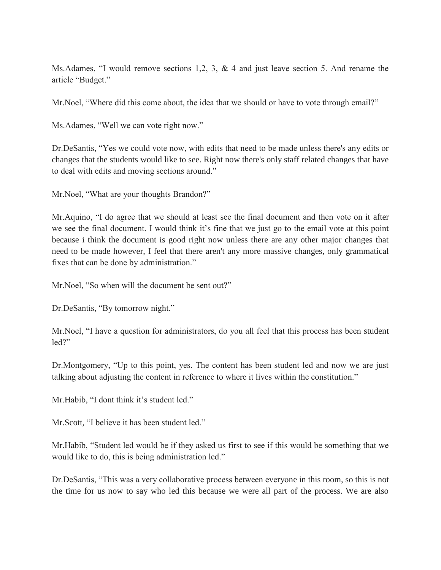Ms. Adames, "I would remove sections 1,2, 3,  $\&$  4 and just leave section 5. And rename the article "Budget."

Mr.Noel, "Where did this come about, the idea that we should or have to vote through email?"

Ms.Adames, "Well we can vote right now."

Dr.DeSantis, "Yes we could vote now, with edits that need to be made unless there's any edits or changes that the students would like to see. Right now there's only staff related changes that have to deal with edits and moving sections around."

Mr.Noel, "What are your thoughts Brandon?"

Mr.Aquino, "I do agree that we should at least see the final document and then vote on it after we see the final document. I would think it's fine that we just go to the email vote at this point because i think the document is good right now unless there are any other major changes that need to be made however, I feel that there aren't any more massive changes, only grammatical fixes that can be done by administration."

Mr. Noel, "So when will the document be sent out?"

Dr.DeSantis, "By tomorrow night."

Mr.Noel, "I have a question for administrators, do you all feel that this process has been student led?"

Dr.Montgomery, "Up to this point, yes. The content has been student led and now we are just talking about adjusting the content in reference to where it lives within the constitution."

Mr.Habib, "I dont think it's student led."

Mr.Scott, "I believe it has been student led."

Mr.Habib, "Student led would be if they asked us first to see if this would be something that we would like to do, this is being administration led."

Dr.DeSantis, "This was a very collaborative process between everyone in this room, so this is not the time for us now to say who led this because we were all part of the process. We are also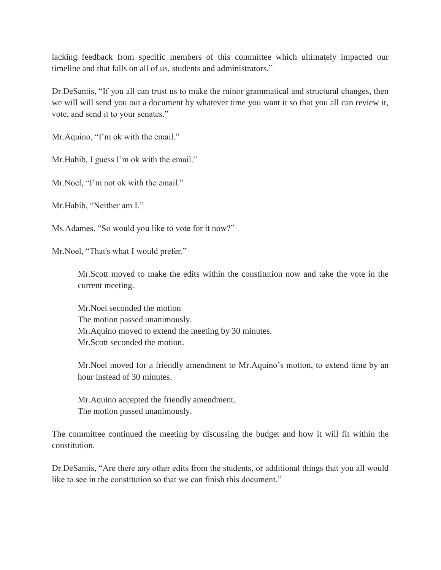lacking feedback from specific members of this committee which ultimately impacted our timeline and that falls on all of us, students and administrators."

Dr.DeSantis, "If you all can trust us to make the minor grammatical and structural changes, then we will will send you out a document by whatever time you want it so that you all can review it, vote, and send it to your senates."

Mr. Aquino, "I'm ok with the email."

Mr. Habib, I guess I'm ok with the email."

Mr. Noel, "I'm not ok with the email."

Mr.Habib, "Neither am I."

Ms.Adames, "So would you like to vote for it now?"

Mr.Noel, "That's what I would prefer."

Mr.Scott moved to make the edits within the constitution now and take the vote in the current meeting.

Mr.Noel seconded the motion The motion passed unanimously. Mr.Aquino moved to extend the meeting by 30 minutes. Mr.Scott seconded the motion.

Mr.Noel moved for a friendly amendment to Mr.Aquino's motion, to extend time by an hour instead of 30 minutes.

Mr.Aquino accepted the friendly amendment. The motion passed unanimously.

The committee continued the meeting by discussing the budget and how it will fit within the constitution.

Dr.DeSantis, "Are there any other edits from the students, or additional things that you all would like to see in the constitution so that we can finish this document."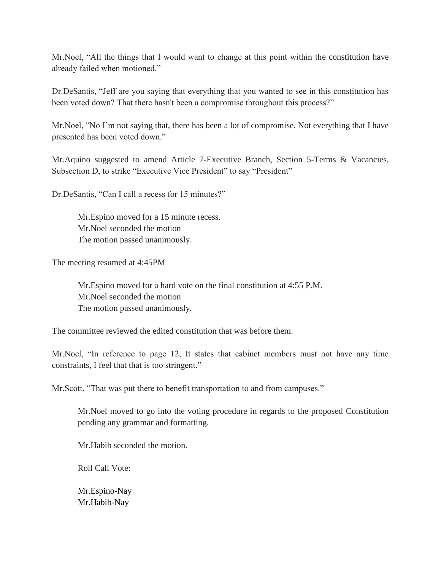Mr.Noel, "All the things that I would want to change at this point within the constitution have already failed when motioned."

Dr.DeSantis, "Jeff are you saying that everything that you wanted to see in this constitution has been voted down? That there hasn't been a compromise throughout this process?"

Mr.Noel, "No I'm not saying that, there has been a lot of compromise. Not everything that I have presented has been voted down."

Mr.Aquino suggested to amend Article 7-Executive Branch, Section 5-Terms & Vacancies, Subsection D, to strike "Executive Vice President" to say "President"

Dr.DeSantis, "Can I call a recess for 15 minutes?"

Mr.Espino moved for a 15 minute recess. Mr.Noel seconded the motion The motion passed unanimously.

The meeting resumed at 4:45PM

Mr.Espino moved for a hard vote on the final constitution at 4:55 P.M. Mr.Noel seconded the motion The motion passed unanimously.

The committee reviewed the edited constitution that was before them.

Mr.Noel, "In reference to page 12, It states that cabinet members must not have any time constraints, I feel that that is too stringent."

Mr.Scott, "That was put there to benefit transportation to and from campuses."

Mr.Noel moved to go into the voting procedure in regards to the proposed Constitution pending any grammar and formatting.

Mr.Habib seconded the motion.

Roll Call Vote:

Mr.Espino-Nay Mr.Habib-Nay